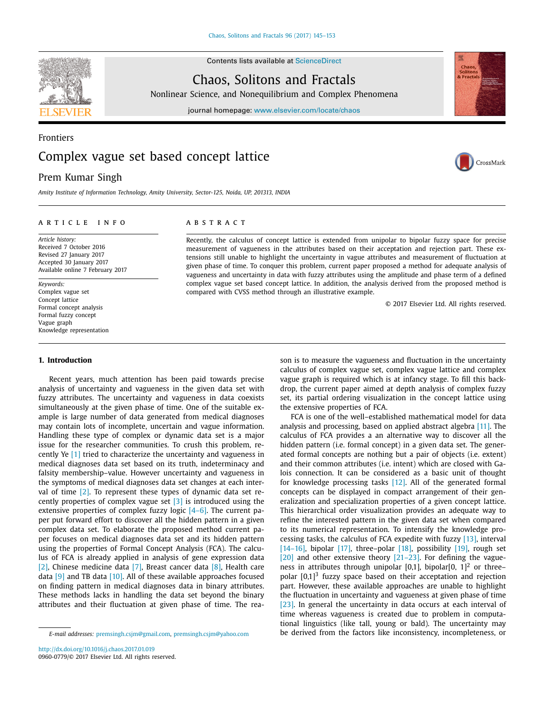Contents lists available at [ScienceDirect](http://www.ScienceDirect.com)



Chaos, Solitons and Fractals

Nonlinear Science, and Nonequilibrium and Complex Phenomena

journal homepage: [www.elsevier.com/locate/chaos](http://www.elsevier.com/locate/chaos)

# Frontiers Complex vague set based concept lattice

## Prem Kumar Singh

*Amity Institute of Information Technology, Amity University, Sector-125, Noida, UP, 201313, INDIA*

#### a r t i c l e i n f o

*Article history:* Received 7 October 2016 Revised 27 January 2017 Accepted 30 January 2017 Available online 7 February 2017

*Keywords:* Complex vague set Concept lattice Formal concept analysis Formal fuzzy concept Vague graph Knowledge representation

## **1. Introduction**

Recent years, much attention has been paid towards precise analysis of uncertainty and vagueness in the given data set with fuzzy attributes. The uncertainty and vagueness in data coexists simultaneously at the given phase of time. One of the suitable example is large number of data generated from medical diagnoses may contain lots of incomplete, uncertain and vague information. Handling these type of complex or dynamic data set is a major issue for the researcher communities. To crush this problem, recently Ye [\[1\]](#page-7-0) tried to characterize the uncertainty and vagueness in medical diagnoses data set based on its truth, indeterminacy and falsity membership–value. However uncertainty and vagueness in the symptoms of medical diagnoses data set changes at each interval of time [\[2\].](#page-7-0) To represent these types of dynamic data set recently properties of complex vague set [\[3\]](#page-7-0) is introduced using the extensive properties of complex fuzzy logic [\[4–6\].](#page-7-0) The current paper put forward effort to discover all the hidden pattern in a given complex data set. To elaborate the proposed method current paper focuses on medical diagnoses data set and its hidden pattern using the properties of Formal Concept Analysis (FCA). The calculus of FCA is already applied in analysis of gene expression data [\[2\],](#page-7-0) Chinese medicine data [\[7\],](#page-7-0) Breast cancer data [\[8\],](#page-7-0) Health care data  $[9]$  and TB data  $[10]$ . All of these available approaches focused on finding pattern in medical diagnoses data in binary attributes. These methods lacks in handling the data set beyond the binary attributes and their fluctuation at given phase of time. The rea-

## A B S T R A C T

Recently, the calculus of concept lattice is extended from unipolar to bipolar fuzzy space for precise measurement of vagueness in the attributes based on their acceptation and rejection part. These extensions still unable to highlight the uncertainty in vague attributes and measurement of fluctuation at given phase of time. To conquer this problem, current paper proposed a method for adequate analysis of vagueness and uncertainty in data with fuzzy attributes using the amplitude and phase term of a defined complex vague set based concept lattice. In addition, the analysis derived from the proposed method is compared with CVSS method through an illustrative example.

© 2017 Elsevier Ltd. All rights reserved.

son is to measure the vagueness and fluctuation in the uncertainty calculus of complex vague set, complex vague lattice and complex vague graph is required which is at infancy stage. To fill this backdrop, the current paper aimed at depth analysis of complex fuzzy set, its partial ordering visualization in the concept lattice using the extensive properties of FCA.

FCA is one of the well–established mathematical model for data analysis and processing, based on applied abstract algebra [\[11\].](#page-7-0) The calculus of FCA provides a an alternative way to discover all the hidden pattern (i.e. formal concept) in a given data set. The generated formal concepts are nothing but a pair of objects (i.e. extent) and their common attributes (i.e. intent) which are closed with Galois connection. It can be considered as a basic unit of thought for knowledge processing tasks [\[12\].](#page-7-0) All of the generated formal concepts can be displayed in compact arrangement of their generalization and specialization properties of a given concept lattice. This hierarchical order visualization provides an adequate way to refine the interested pattern in the given data set when compared to its numerical representation. To intensify the knowledge processing tasks, the calculus of FCA expedite with fuzzy [\[13\],](#page-7-0) interval [\[14–16\],](#page-7-0) bipolar [\[17\],](#page-7-0) three–polar [\[18\],](#page-7-0) possibility [\[19\],](#page-7-0) rough set [\[20\]](#page-7-0) and other extensive theory  $[21-23]$ . For defining the vagueness in attributes through unipolar  $[0,1]$ , bipolar $[0, 1]^2$  or three– polar  $[0,1]^3$  fuzzy space based on their acceptation and rejection part. However, these available approaches are unable to highlight the fluctuation in uncertainty and vagueness at given phase of time [\[23\].](#page-7-0) In general the uncertainty in data occurs at each interval of time whereas vagueness is created due to problem in computational linguistics (like tall, young or bald). The uncertainty may be derived from the factors like inconsistency, incompleteness, or



CrossMark

*E-mail addresses:* [premsingh.csjm@gmail.com,](mailto:premsingh.csjm@gmail.com) [premsingh.csjm@yahoo.com](mailto:premsingh.csjm@yahoo.com)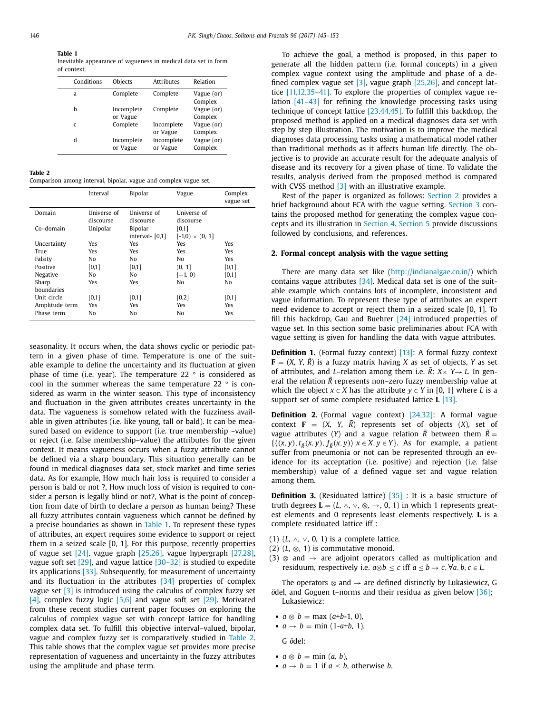**Table 1**

Inevitable appearance of vagueness in medical data set in form of context.

| Conditions   | Objects                | <b>Attributes</b>      | Relation              |
|--------------|------------------------|------------------------|-----------------------|
| a            | Complete               | Complete               | Vague (or)<br>Complex |
| h            | Incomplete<br>or Vague | Complete               | Vague (or)<br>Complex |
| $\mathsf{C}$ | Complete               | Incomplete<br>or Vague | Vague (or)<br>Complex |
| d            | Incomplete<br>or Vague | Incomplete<br>or Vague | Vague (or)<br>Complex |

**Table 2**

Comparison among interval, bipolar, vague and complex vague set.

|                | Interval    | <b>Bipolar</b>    | Vague                  | Complex<br>vague set |
|----------------|-------------|-------------------|------------------------|----------------------|
| Domain         | Universe of | Universe of       | <b>Universe</b> of     |                      |
|                | discourse   | discourse         | discourse              |                      |
| Co-domain      | Unipolar    | <b>Bipolar</b>    | [0,1]                  |                      |
|                |             | interval- $[0,1]$ | $[-1,0) \times (0, 1]$ |                      |
| Uncertainty    | Yes         | Yes               | Yes                    | Yes                  |
| True           | Yes         | Yes               | Yes                    | Yes                  |
| Falsity        | No          | No                | No                     | Yes                  |
| Positive       | [0,1]       | [0,1]             | (0, 1]                 | [0,1]                |
| Negative       | No          | No                | $[-1, 0)$              | [0,1]                |
| Sharp          | Yes         | Yes               | No                     | No                   |
| boundaries     |             |                   |                        |                      |
| Unit circle    | [0,1]       | [0,1]             | [0,2]                  | [0,1]                |
| Amplitude term | Yes         | Yes               | Yes                    | Yes                  |
| Phase term     | No          | No                | No                     | Yes                  |

seasonality. It occurs when, the data shows cyclic or periodic pattern in a given phase of time. Temperature is one of the suitable example to define the uncertainty and its fluctuation at given phase of time (i.e. year). The temperature 22  $\degree$  is considered as cool in the summer whereas the same temperature 22 ° is considered as warm in the winter season. This type of inconsistency and fluctuation in the given attributes creates uncertainty in the data. The vagueness is somehow related with the fuzziness available in given attributes (i.e. like young, tall or bald). It can be measured based on evidence to support (i.e. true membership –value) or reject (i.e. false membership–value) the attributes for the given context. It means vagueness occurs when a fuzzy attribute cannot be defined via a sharp boundary. This situation generally can be found in medical diagnoses data set, stock market and time series data. As for example, How much hair loss is required to consider a person is bald or not ?, How much loss of vision is required to consider a person is legally blind or not?, What is the point of conception from date of birth to declare a person as human being? These all fuzzy attributes contain vagueness which cannot be defined by a precise boundaries as shown in Table 1. To represent these types of attributes, an expert requires some evidence to support or reject them in a seized scale [0, 1]. For this purpose, recently properties of vague set [\[24\],](#page-7-0) vague graph [\[25,26\],](#page-7-0) vague hypergraph [\[27,28\],](#page-7-0) vague soft set [\[29\],](#page-7-0) and vague lattice [\[30–32\]](#page-7-0) is studied to expedite its applications [\[33\].](#page-7-0) Subsequently, for measurement of uncertainty and its fluctuation in the attributes  $[34]$  properties of complex vague set [\[3\]](#page-7-0) is introduced using the calculus of complex fuzzy set [\[4\],](#page-7-0) complex fuzzy logic [\[5,6\]](#page-7-0) and vague soft set [\[29\].](#page-7-0) Motivated from these recent studies current paper focuses on exploring the calculus of complex vague set with concept lattice for handling complex data set. To fulfill this objective interval–valued, bipolar, vague and complex fuzzy set is comparatively studied in Table 2. This table shows that the complex vague set provides more precise representation of vagueness and uncertainty in the fuzzy attributes using the amplitude and phase term.

To achieve the goal, a method is proposed, in this paper to generate all the hidden pattern (i.e. formal concepts) in a given complex vague context using the amplitude and phase of a defined complex vague set  $[3]$ , vague graph  $[25,26]$ , and concept lattice [\[11,12,35–41\].](#page-7-0) To explore the properties of complex vague relation [\[41–43\]](#page-8-0) for refining the knowledge processing tasks using technique of concept lattice [\[23,44,45\].](#page-7-0) To fulfill this backdrop, the proposed method is applied on a medical diagnoses data set with step by step illustration. The motivation is to improve the medical diagnoses data processing tasks using a mathematical model rather than traditional methods as it affects human life directly. The objective is to provide an accurate result for the adequate analysis of disease and its recovery for a given phase of time. To validate the results, analysis derived from the proposed method is compared with CVSS method  $[3]$  with an illustrative example.

Rest of the paper is organized as follows: Section 2 provides a brief background about FCA with the vague setting. [Section](#page-2-0) 3 contains the proposed method for generating the complex vague concepts and its illustration in [Section](#page-4-0) 4. [Section](#page-6-0) 5 provide discussions followed by conclusions, and references.

## **2. Formal concept analysis with the vague setting**

There are many data set like [\(http://indianalgae.co.in/\)](http://indianalgae.co.in/) which contains vague attributes  $[34]$ . Medical data set is one of the suitable example which contains lots of incomplete, inconsistent and vague information. To represent these type of attributes an expert need evidence to accept or reject them in a seized scale [0, 1]. To fill this backdrop, Gau and Buehrer [\[24\]](#page-7-0) introduced properties of vague set. In this section some basic preliminaries about FCA with vague setting is given for handling the data with vague attributes.

**Definition 1.** (Formal fuzzy context) [\[13\]:](#page-7-0) A formal fuzzy context  **is a fuzzy matrix having** *X* **as set of objects,** *Y* **as set** of attributes, and *L*–relation among them i.e.  $\tilde{R}$ :  $X \times Y \rightarrow L$ . In general the relation  $\tilde{R}$  represents non–zero fuzzy membership value at which the object  $x \in X$  has the attribute  $y \in Y$  in [0, 1] where *L* is a support set of some complete residuated lattice **L** [\[13\].](#page-7-0)

**Definition 2.** (Formal vague context) [\[24,32\]:](#page-7-0) A formal vague context  $\mathbf{F} = (X, Y, \tilde{R})$  represents set of objects  $(X)$ , set of vague attributes (*Y*) and a vague relation  $\tilde{R}$  between them  $\tilde{R}$  =  $\{\langle (x, y), t_{\overrightarrow{R}}(x, y), f_{\overrightarrow{R}}(x, y) \rangle | x \in X, y \in Y\}.$  As for example, a patient suffer from pneumonia or not can be represented through an evidence for its acceptation (i.e. positive) and rejection (i.e. false membership) value of a defined vague set and vague relation among them.

**Definition 3.** (Residuated lattice) [\[35\]](#page-8-0) : It is a basic structure of truth degrees  $\mathbf{L} = (L, \wedge, \vee, \otimes, \rightarrow, 0, 1)$  in which 1 represents greatest elements and 0 represents least elements respectively. **L** is a complete residuated lattice iff :

- (1)  $(L, \wedge, \vee, 0, 1)$  is a complete lattice.
- $(2)$   $(L, \otimes, 1)$  is commutative monoid.
- (3)  $\otimes$  and  $\rightarrow$  are adjoint operators called as multiplication and residuum, respectively i.e.  $a \otimes b \leq c$  iff  $a \leq b \to c$ ,  $\forall a, b, c \in L$ .

The operators  $\otimes$  and  $\rightarrow$  are defined distinctly by Lukasiewicz, G *o*del, and Goguen t–norms and their residua as given below [\[36\];](#page-8-0) Lukasiewicz:

- $a \otimes b = \max(a+b-1, 0),$
- $a \to b = \min (1-a+b, 1)$ .

G *o*¨del:

- $a \otimes b = \min(a, b)$ ,
- $a \rightarrow b = 1$  if  $a < b$ , otherwise *b*.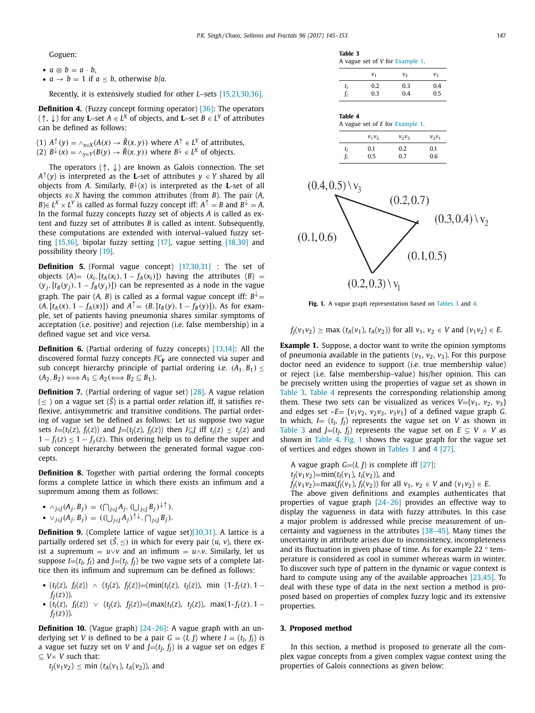<span id="page-2-0"></span>Goguen:

- $a \otimes b = a \cdot b$ ,
- $a \rightarrow b = 1$  if  $a < b$ , otherwise *b*/*a*.

Recently, it is extensively studied for other *L*–sets [\[15,21,30,36\].](#page-7-0)

**Definition 4.** (Fuzzy concept forming operator) [\[36\]:](#page-8-0) The operators (↑, ↓) for any **L**–set *A* ∈ *L<sup>X</sup>* of objects, and **L**–set *B* ∈ *L<sup>Y</sup>* of attributes can be defined as follows:

(1)  $A^{\uparrow}(y) = \wedge_{x \in X} (A(x) \to \tilde{R}(x, y))$  where  $A^{\uparrow} \in L^Y$  of attributes, (2)  $B^{\downarrow}(x) = \wedge_{v \in Y}(B(y) \to \tilde{R}(x, y))$  where  $B^{\downarrow} \in L^X$  of objects.

The operators  $( \uparrow, \downarrow )$  are known as Galois connection. The set  $A^{\uparrow}(y)$  is interpreted as the **L**-set of attributes  $y \in Y$  shared by all objects from *A*. Similarly,  $B^{\downarrow}(x)$  is interpreted as the **L**-set of all objects *x*∈ *X* having the common attributes (from *B*). The pair (*A,*  $B \in L^X \times L^Y$  is called as formal fuzzy concept iff:  $A^T = B$  and  $B^{\downarrow} = A$ . In the formal fuzzy concepts fuzzy set of objects *A* is called as extent and fuzzy set of attributes *B* is called as intent. Subsequently, these computations are extended with interval–valued fuzzy setting [\[15,16\],](#page-7-0) bipolar fuzzy setting [\[17\],](#page-7-0) vague setting [\[18,30\]](#page-7-0) and possibility theory [\[19\].](#page-7-0)

**Definition 5.** (Formal vague concept) [\[17,30,31\]](#page-7-0) : The set of objects  $(A) = (x_i, [t_A(x_i), 1 - f_A(x_i)])$  having the attributes  $(B)$  =  $(y_j,[t_B(y_j), 1 - f_B(y_j)])$  can be represented as a node in the vague graph. The pair (*A*, *B*) is called as a formal vague concept iff:  $B^{\downarrow}$  =  $(A, [t_A(x), 1 - f_A(x)])$  and  $A^T = (B, [t_B(y), 1 - f_B(y)])$ . As for example, set of patients having pneumonia shares similar symptoms of acceptation (i.e. positive) and rejection (i.e. false membership) in a defined vague set and vice versa.

**Definition 6.** (Partial ordering of fuzzy concepts) [\[13,14\]:](#page-7-0) All the discovered formal fuzzy concepts *FC***<sup>F</sup>** are connected via super and sub concept hierarchy principle of partial ordering i.e.  $(A_1, B_1) \leq$  $(A_2, B_2) \Longleftrightarrow A_1 \subseteq A_2 \Longleftrightarrow B_2 \subseteq B_1$ ).

**Definition 7.** (Partial ordering of vague set) [\[28\].](#page-7-0) A vague relation  $(<$  ) on a vague set  $(S)$  is a partial order relation iff, it satisfies reflexive, antisymmetric and transitive conditions. The partial ordering of vague set be defined as follows: Let us suppose two vague sets *I*=( $t_I(z)$ ,  $f_I(z)$ ) and *J*=( $t_I(z)$ ,  $f_I(z)$ ) then *I*⊆*J* iff  $t_i(z) \le t_i(z)$  and  $1 - f_i(z) \leq 1 - f_i(z)$ . This ordering help us to define the super and sub concept hierarchy between the generated formal vague concepts.

**Definition 8.** Together with partial ordering the formal concepts forms a complete lattice in which there exists an infimum and a supremum among them as follows:

- $\wedge_{j \in J} (A_j, B_j) = (\bigcap_{j \in J} A_j, (\bigcup_{j \in J} B_j)^{\downarrow \uparrow}),$
- $\vee_{j \in J} (A_j, B_j) = ((\bigcup_{j \in J} A_j) \uparrow \downarrow, \bigcap_{j \in J} B_j).$

**Definition 9.** (Complete lattice of vague set[\)\[30,31\].](#page-7-0) A lattice is a partially ordered set  $(\tilde{S}, \leq)$  in which for every pair  $(u, v)$ , there exist a supremum =  $u \vee v$  and an infimum =  $u \wedge v$ . Similarly, let us suppose  $I=(t_I, f_I)$  and  $J=(t_I, f_I)$  be two vague sets of a complete lattice then its infimum and supremum can be defined as follows:

- $(t_1(z), f_1(z)) \wedge (t_1(z), f_1(z)) = (\min(t_1(z), t_1(z)), \min(1-f_1(z), 1$  $f_I(z)$ )).
- $(t_1(z), f_1(z)) \vee (t_1(z), f_1(z)) = (\max(t_1(z), t_1(z)), \max(1-f_1(z), 1$  $f_I(z)$ )).

**Definition 10.** (Vague graph) [\[24–26\]:](#page-7-0) A vague graph with an underlying set *V* is defined to be a pair  $G = (I, J)$  where  $I = (t_I, f_I)$  is a vague set fuzzy set on *V* and  $J=(t_I, f_I)$  is a vague set on edges *E* ⊆ *V*× *V* such that:

 $t_1(v_1v_2) \le \min(t_A(v_1), t_A(v_2))$ , and

**Table 3** A vague set of *V* for Example 1.

|    | $v_{1}$ | V2  | Vą  |  |  |
|----|---------|-----|-----|--|--|
| tı | 0.2     | 0.3 | 0.4 |  |  |
|    | 0.3     | 0.4 | 0.5 |  |  |

#### **Table 4**

| A vague set of E for Example 1. |          |          |          |  |  |  |  |  |  |
|---------------------------------|----------|----------|----------|--|--|--|--|--|--|
|                                 | $v_1v_2$ | $v_2v_3$ | $v_3v_1$ |  |  |  |  |  |  |
| tı                              | 0.1      | 02       | 0.1      |  |  |  |  |  |  |

*fI* 0.5 0.7 0.6



**Fig. 1.** A vague graph representation based on Tables 3 and 4.

$$
f_J(v_1v_2) \ge \max(t_A(v_1), t_A(v_2))
$$
 for all  $v_1, v_2 \in V$  and  $(v_1v_2) \in E$ .

**Example 1.** Suppose, a doctor want to write the opinion symptoms of pneumonia available in the patients  $(v_1, v_2, v_3)$ . For this purpose doctor need an evidence to support (i.e. true membership value) or reject (i.e. false membership–value) his/her opinion. This can be precisely written using the properties of vague set as shown in Table 3. Table 4 represents the corresponding relationship among them. These two sets can be visualized as verices  $V = \{v_1, v_2, v_3\}$ and edges set  $-E = \{v_1v_2, v_2v_3, v_3v_1\}$  of a defined vague graph *G*. In which,  $I = (t_I, f_I)$  represents the vague set on *V* as shown in Table 3 and *J*=( $t_I$ ,  $f_I$ ) represents the vague set on  $E \subseteq V \times V$  as shown in Table 4. Fig. 1 shows the vague graph for the vague set of vertices and edges shown in Tables 3 and 4 [\[27\].](#page-7-0)

A vague graph  $G=(I, J)$  is complete iff [\[27\]:](#page-7-0)  $t_1(v_1v_2)$ =min( $t_1(v_1)$ ,  $t_1(v_2)$ ), and

 $f_I(v_1v_2)$ =max( $f_I(v_1)$ ,  $f_I(v_2)$ ) for all  $v_1, v_2 \in V$  and  $(v_1v_2) \in E$ .

The above given definitions and examples authenticates that properties of vague graph [\[24–26\]](#page-7-0) provides an effective way to display the vagueness in data with fuzzy attributes. In this case a major problem is addressed while precise measurement of uncertainty and vagueness in the attributes [\[38–45\].](#page-8-0) Many times the uncertainty in attribute arises due to inconsistency, incompleteness and its fluctuation in given phase of time. As for example 22 ° temperature is considered as cool in summer whereas warm in winter. To discover such type of pattern in the dynamic or vague context is hard to compute using any of the available approaches [\[23,45\].](#page-7-0) To deal with these type of data in the next section a method is proposed based on properties of complex fuzzy logic and its extensive properties.

### **3. Proposed method**

In this section, a method is proposed to generate all the complex vague concepts from a given complex vague context using the properties of Galois connections as given below: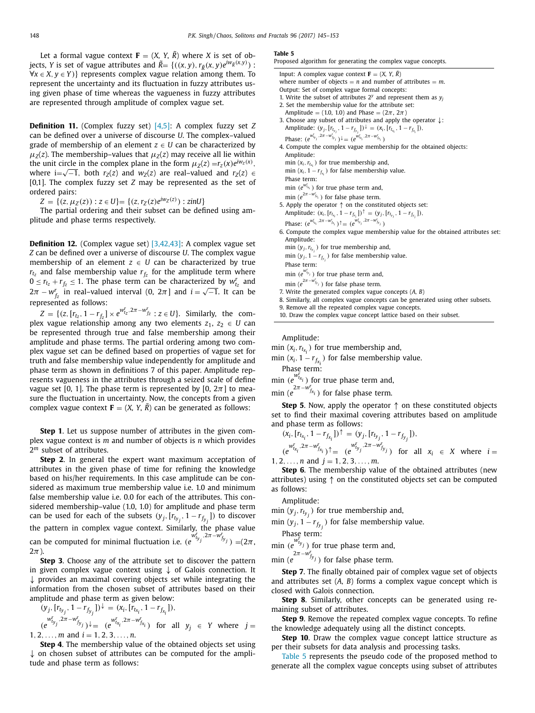<span id="page-3-0"></span>Let a formal vague context  $\mathbf{F} = (X, Y, R)$  where *X* is set of objects, *Y* is set of vague attributes and  $\tilde{R} = \{((x, y), r_{\tilde{R}}(x, y)e^{i w_{\tilde{R}}(x, y)})$ :  $\forall x \in X, y \in Y$ } represents complex vague relation among them. To represent the uncertainty and its fluctuation in fuzzy attributes using given phase of time whereas the vagueness in fuzzy attributes are represented through amplitude of complex vague set.

**Definition 11.** (Complex fuzzy set) [\[4,5\]:](#page-7-0) A complex fuzzy set *Z* can be defined over a universe of discourse *U*. The complex–valued grade of membership of an element  $z \in U$  can be characterized by  $\mu_7(z)$ . The membership–values that  $\mu_7(z)$  may receive all lie within the unit circle in the complex plane in the form  $\mu_z(z) = r_z(x)e^{iw_z(x)}$ , where i= $\sqrt{-1}$ , both *r<sub>Z</sub>*(*z*) and *w<sub>Z</sub>*(*z*) are real–valued and *r<sub>Z</sub>*(*z*)  $\in$ [0,1]. The complex fuzzy set *Z* may be represented as the set of ordered pairs:

 $Z = \{(z, \mu_Z(z)) : z \in U\} = \{(z, r_Z(z)e^{iw_Z(z)}) : z \in U\}$ 

The partial ordering and their subset can be defined using amplitude and phase terms respectively.

**Definition 12.** (Complex vague set) [\[3,42,43\]:](#page-7-0) A complex vague set *Z* can be defined over a universe of discourse *U*. The complex vague membership of an element  $z \in U$  can be characterized by true  $r_{tz}$  and false membership value  $r_{fz}$  for the amplitude term where  $0 \le r_{t_z} + r_{f_z} \le 1$ . The phase term can be characterized by  $w_{t_z}^r$  and  $2\pi - w_f^r$  in real–valued interval (0, 2π] and  $i = \sqrt{-1}$ . It can be  $2\pi - w_f^r$ represented as follows:

 $Z = \{(z, [r_{t_z}, 1 - r_{f_z}] \times e^{w_{t_z}^t \cdot 2\pi - w_{f_z}^r} : z \in U\}$ . Similarly, the complex vague relationship among any two elements  $z_1, z_2 \in U$  can be represented through true and false membership among their amplitude and phase terms. The partial ordering among two complex vague set can be defined based on properties of vague set for truth and false membership value independently for amplitude and phase term as shown in definitions 7 of this paper. Amplitude represents vagueness in the attributes through a seized scale of define vague set [0, 1]. The phase term is represented by [0,  $2\pi$ ] to measure the fluctuation in uncertainty. Now, the concepts from a given complex vague context  $\mathbf{F} = (X, Y, R)$  can be generated as follows:

**Step 1**. Let us suppose number of attributes in the given complex vague context is *m* and number of objects is *n* which provides 2*<sup>m</sup>* subset of attributes.

**Step 2**. In general the expert want maximum acceptation of attributes in the given phase of time for refining the knowledge based on his/her requirements. In this case amplitude can be considered as maximum true membership value i.e. 1.0 and minimum false membership value i.e. 0.0 for each of the attributes. This considered membership–value (1.0, 1.0) for amplitude and phase term can be used for each of the subsets  $(y_j, [r_{t_{y_j}}, 1 - r_{f_{y_j}}])$  to discover the pattern in complex vague context. Similarly, the phase value can be computed for minimal fluctuation i.e.  $(e^{w_{t_{y_j}}^r} \cdot 2\pi - w_{f_{y_j}}^r) = (2\pi,$  $2\pi$ ).

**Step 3**. Choose any of the attribute set to discover the pattern in given complex vague context using ↓ of Galois connection. It  $\downarrow$  provides an maximal covering objects set while integrating the information from the chosen subset of attributes based on their amplitude and phase term as given below:

$$
(y_j, [r_{t_{y_j}}, 1 - r_{f_{y_j}}])^{\downarrow} = (x_i, [r_{t_{x_i}}, 1 - r_{f_{x_i}}]),
$$
  

$$
(e^{w_{t_{y_i}}^T, 2\pi - w_{f_{y_i}}^T})^{\downarrow} = (e^{w_{t_{x_i}}^T, 2\pi - w_{f_{x_i}}^T}) \text{ for all } t \in [0, 1]
$$

 $(e^{wt_{t_{y_j}} \cdot 2\pi - w^r_{f_{y_j}}}) \downarrow = (e^{wt_{t_{x_i}} \cdot 2\pi - w^r_{f_{x_i}}})$  for all  $y_j \in Y$  where  $j =$  $1, 2, \ldots, m$  and  $i = 1, 2, 3, \ldots, n$ .

**Step 4**. The membership value of the obtained objects set using  $\downarrow$  on chosen subset of attributes can be computed for the amplitude and phase term as follows:

#### **Table 5**

|  |  |  | Proposed algorithm for generating the complex vague concepts. |  |  |  |  |  |
|--|--|--|---------------------------------------------------------------|--|--|--|--|--|
|--|--|--|---------------------------------------------------------------|--|--|--|--|--|

| Input: A complex vague context $\mathbf{F} = (X, Y, \tilde{R})$                                                     |
|---------------------------------------------------------------------------------------------------------------------|
| where number of objects = $n$ and number of attributes = $m$ .                                                      |
| Output: Set of complex vague formal concepts:                                                                       |
| 1. Write the subset of attributes $2^y$ and represent them as $y_j$                                                 |
| 2. Set the membership value for the attribute set:                                                                  |
| Amplitude = (1.0, 1.0) and Phase = $(2\pi, 2\pi)$                                                                   |
| 3. Choose any subset of attributes and apply the operator $\downarrow$ :                                            |
| Amplitude: $(y_j, [r_{t_{y_j}}, 1 - r_{f_{y_i}}])^{\downarrow} = (x_i, [r_{t_{x_i}}, 1 - r_{f_{x_i}}]),$            |
| Phase: $(e^{W'_{t_{y_i}}, 2\pi - W'_{f_{y_i}}})^{\downarrow} = (e^{W'_{t_{x_i}}, 2\pi - W'_{f_{x_i}}})$             |
| 4. Compute the complex vague membership for the obtained objects:                                                   |
| Amplitude:                                                                                                          |
| min $(x_i, r_{t_{x_i}})$ for true membership and,                                                                   |
| min $(x_i, 1 - r_{f_x})$ for false membership value.                                                                |
| Phase term:                                                                                                         |
| min ( $e^{W_{t_{x_i}}^t}$ ) for true phase term and,                                                                |
| min ( $e^{2\pi - w_{f_{x_i}}^r}$ ) for false phase term.                                                            |
| 5. Apply the operator $\uparrow$ on the constituted objects set:                                                    |
| Amplitude: $(x_i, [r_{t_{x_i}}, 1 - r_{f_{x_i}}])^{\uparrow} = (y_j, [r_{t_{y_i}}, 1 - r_{f_{y_i}}]),$              |
| Phase: $(e^{w_{t_{x_i}}^r \cdot 2\pi - w_{f_{x_i}}^r})^{\uparrow} = (e^{w_{t_{y_i}}^r \cdot 2\pi - w_{f_{y_i}}^r})$ |
| 6. Compute the complex vague membership value for the obtained attributes set:                                      |
| Amplitude:                                                                                                          |
| min $(y_i, r_{t_{vi}})$ for true membership and,                                                                    |
| min $(y_i, 1 - r_{f_v})$ for false membership value.                                                                |

- min  $(y_j, 1 r_{f_{y_j}})$ <br>Phase term:
- $\min$  ( $e^{w_{t_{y_j}}^r}$ ) for true phase term and,
- min ( $e^{2\pi w_{f_{y_j}}^r}$ ) for false phase term.
- 7. Write the generated complex vague concepts (*A, B*)
- 8. Similarly, all complex vague concepts can be generated using other subsets.
- 9. Remove all the repeated complex vague concepts.
- 10. Draw the complex vague concept lattice based on their subset.

Amplitude:

min  $(x_i, r_{t_{x_i}})$  for true membership and,

min  $(x_i, 1 - r_{f_{x_i}})$  for false membership value. Phase term:

min  $(e^{wt_{t_{x_i}}})$  for true phase term and,

min ( $e^{2\pi - w_{f_{x_i}}^r}$ ) for false phase term.

**Step 5**. Now, apply the operator ↑ on these constituted objects set to find their maximal covering attributes based on amplitude and phase term as follows:

$$
(\mathbf{x}_i, [r_{t_{x_i}}, 1 - r_{f_{x_i}}])^{\uparrow} = (\mathbf{y}_j, [r_{t_{y_j}}, 1 - r_{f_{y_j}}]),
$$
  

$$
\mathbf{w}_i^r \quad 2\pi - \mathbf{w}_i^r \quad \mathbf{w}_i^r \quad 2\pi - \mathbf{w}_i^r
$$

 $(e^{wt_{x_i}} \cdot 2\pi - w_{f_{x_i}}^r)$ <sup>†</sup> =  $(e^{wt_{t_{y_j}} \cdot 2\pi - w_{f_{y_j}}^r})$  for all  $x_i \in X$  where  $i =$  $1, 2, \ldots, n$  and  $j = 1, 2, 3, \ldots, m$ .

**Step 6**. The membership value of the obtained attributes (new attributes) using ↑ on the constituted objects set can be computed as follows:

Amplitude:

min  $(y_j, r_{t_{y_j}})$  for true membership and,

min ( $y_j$ , 1 –  $r_{f_{y_j}}$ ) for false membership value.

Phase term:

 $\lim_{w \to 0}$   $\lim_{w \to 0}$  *i* or true phase term and,

 $\lim_{z \to z} (e^{2\pi - w^{r}})$  for false phase term.

**Step 7**. The finally obtained pair of complex vague set of objects and attributes set (*A, B*) forms a complex vague concept which is closed with Galois connection.

**Step 8**. Similarly, other concepts can be generated using remaining subset of attributes.

**Step 9**. Remove the repeated complex vague concepts. To refine the knowledge adequately using all the distinct concepts.

**Step 10**. Draw the complex vague concept lattice structure as per their subsets for data analysis and processing tasks.

Table 5 represents the pseudo code of the proposed method to generate all the complex vague concepts using subset of attributes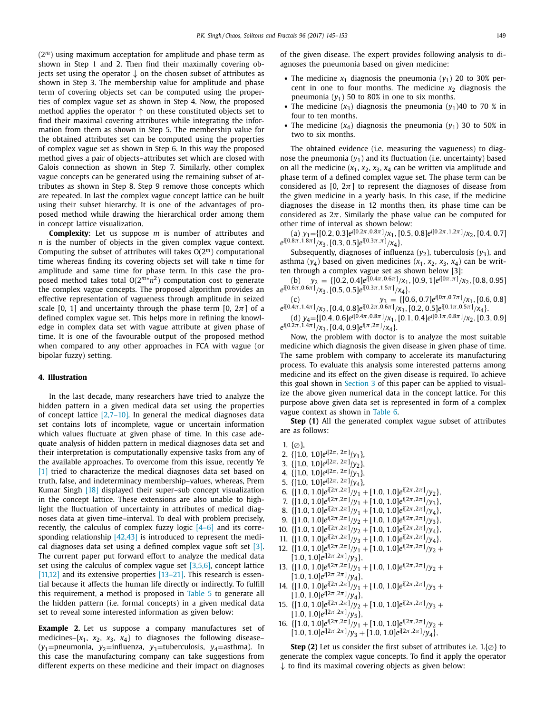<span id="page-4-0"></span>(2*m*) using maximum acceptation for amplitude and phase term as shown in Step 1 and 2. Then find their maximally covering objects set using the operator  $\downarrow$  on the chosen subset of attributes as shown in Step 3. The membership value for amplitude and phase term of covering objects set can be computed using the properties of complex vague set as shown in Step 4. Now, the proposed method applies the operator ↑ on these constituted objects set to find their maximal covering attributes while integrating the information from them as shown in Step 5. The membership value for the obtained attributes set can be computed using the properties of complex vague set as shown in Step 6. In this way the proposed method gives a pair of objects–attributes set which are closed with Galois connection as shown in Step 7. Similarly, other complex vague concepts can be generated using the remaining subset of attributes as shown in Step 8. Step 9 remove those concepts which are repeated. In last the complex vague concept lattice can be built using their subset hierarchy. It is one of the advantages of proposed method while drawing the hierarchical order among them in concept lattice visualization.

**Complexity**: Let us suppose *m* is number of attributes and *n* is the number of objects in the given complex vague context. Computing the subset of attributes will takes O(2*m*) computational time whereas finding its covering objects set will take *n* time for amplitude and same time for phase term. In this case the proposed method takes total O(2*m*∗*n*2) computation cost to generate the complex vague concepts. The proposed algorithm provides an effective representation of vagueness through amplitude in seized scale [0, 1] and uncertainty through the phase term  $[0, 2\pi]$  of a defined complex vague set. This helps more in refining the knowledge in complex data set with vague attribute at given phase of time. It is one of the favourable output of the proposed method when compared to any other approaches in FCA with vague (or bipolar fuzzy) setting.

## **4. Illustration**

In the last decade, many researchers have tried to analyze the hidden pattern in a given medical data set using the properties of concept lattice  $[2,7-10]$ . In general the medical diagnoses data set contains lots of incomplete, vague or uncertain information which values fluctuate at given phase of time. In this case adequate analysis of hidden pattern in medical diagnoses data set and their interpretation is computationally expensive tasks from any of the available approaches. To overcome from this issue, recently Ye [\[1\]](#page-7-0) tried to characterize the medical diagnoses data set based on truth, false, and indeterminacy membership–values, whereas, Prem Kumar Singh [\[18\]](#page-7-0) displayed their super–sub concept visualization in the concept lattice. These extensions are also unable to highlight the fluctuation of uncertainty in attributes of medical diagnoses data at given time–interval. To deal with problem precisely, recently, the calculus of complex fuzzy logic [\[4–6\]](#page-7-0) and its corresponding relationship [\[42,43\]](#page-8-0) is introduced to represent the medical diagnoses data set using a defined complex vague soft set [\[3\].](#page-7-0) The current paper put forward effort to analyze the medical data set using the calculus of complex vague set  $[3,5,6]$ , concept lattice  $[11,12]$  and its extensive properties  $[13-21]$ . This research is essential because it affects the human life directly or indirectly. To fulfill this requirement, a method is proposed in [Table](#page-3-0) 5 to generate all the hidden pattern (i.e. formal concepts) in a given medical data set to reveal some interested information as given below:

**Example 2.** Let us suppose a company manufactures set of medicines– $\{x_1, x_2, x_3, x_4\}$  to diagnoses the following disease– (*y*<sub>1</sub>=pneumonia, *y*<sub>2</sub>=influenza, *y*<sub>3</sub>=tuberculosis, *y*<sub>4</sub>=asthma). In this case the manufacturing company can take suggestions from different experts on these medicine and their impact on diagnoses

of the given disease. The expert provides following analysis to diagnoses the pneumonia based on given medicine:

- The medicine  $x_1$  diagnosis the pneumonia  $(y_1)$  20 to 30% percent in one to four months. The medicine  $x_2$  diagnosis the pneumonia  $(y_1)$  50 to 80% in one to six months.
- The medicine  $(x_3)$  diagnosis the pneumonia  $(y_1)40$  to 70 % in four to ten months.
- The medicine  $(x_4)$  diagnosis the pneumonia  $(y_1)$  30 to 50% in two to six months.

The obtained evidence (i.e. measuring the vagueness) to diagnose the pneumonia  $(y_1)$  and its fluctuation (i.e. uncertainty) based on all the medicine  $(x_1, x_2, x_3, x_4$  can be written via amplitude and phase term of a defined complex vague set. The phase term can be considered as [0,  $2\pi$ ] to represent the diagnoses of disease from the given medicine in a yearly basis. In this case, if the medicine diagnoses the disease in 12 months then, its phase time can be considered as  $2\pi$ . Similarly the phase value can be computed for other time of interval as shown below:

(a)  $y_1 = \{ [0.2, 0.3]e^{i[0.2\pi, 0.8\pi]} / x_1, [0.5, 0.8]e^{i[0.2\pi, 1.2\pi]} / x_2, [0.4, 0.7]$  $e^{i[0.8\pi,1.8\pi]}/x_3$ , [0.3, 0.5] $e^{i[0.3\pi,\pi]}/x_4$  }.

Subsequently, diagnoses of influenza  $(y_2)$ , tuberculosis  $(y_3)$ , and asthma  $(y_4)$  based on given medicines  $(x_1, x_2, x_3, x_4)$  can be written through a complex vague set as shown below [3]:

(b)  $y_2 = \{ [0.2, 0.4]e^{i[0.4\pi, 0.6\pi]} / x_1, [0.9, 1]e^{i[0\pi, \pi]} / x_2, [0.8, 0.95] \}$  $e^{i[0.6\pi, 0.6\pi]}/x_3$ , [0.5, 0.5] $e^{i[0.3\pi, 1.5\pi]}/x_4$  }.

(c)  $y_3 = \{[0.6, 0.7]e^{i[0\pi, 0.7\pi]}/x_1, [0.6, 0.8]$  $e^{i[0.4\pi, 1.4\pi]}$ / $x_2$ , [0.4, 0.8] $e^{i[0.2\pi, 0.6\pi]}$ / $x_3$ , [0.2, 0.5] $e^{i[0.1\pi, 0.5\pi]}$ / $x_4$ }.

(d)  $y_4 = \{ [0.4, 0.6]e^{i[0.4\pi, 0.8\pi]}/x_1, [0.1, 0.4]e^{i[0.1\pi, 0.8\pi]}/x_2, [0.3, 0.9]$  $e^{i[0.2\pi, 1.4\pi]}$ / $x_3$ , [0.4, 0.9] $e^{i[\pi, 2\pi]}$ / $x_4$ }.

Now, the problem with doctor is to analyze the most suitable medicine which diagnosis the given disease in given phase of time. The same problem with company to accelerate its manufacturing process. To evaluate this analysis some interested patterns among medicine and its effect on the given disease is required. To achieve this goal shown in [Section](#page-2-0) 3 of this paper can be applied to visualize the above given numerical data in the concept lattice. For this purpose above given data set is represented in form of a complex vague context as shown in [Table](#page-5-0) 6.

**Step (1)** All the generated complex vague subset of attributes are as follows:

- 1.  $\{\emptyset\}$ ,
- 2. {[1.0, 1.0]*ei*[2π, <sup>2</sup>π] /*y*1},
- 3. {[1.0, 1.0]*ei*[2π, <sup>2</sup>π] /*y*2},
- 4. {[1.0, 1.0]*ei*[2π, <sup>2</sup>π] /*y*3},
- 5. {[1.0, 1.0]*ei*[2π, <sup>2</sup>π] /*y*4},
- 6.  $\{ [1.0, 1.0]e^{i[2\pi, 2\pi]}/y_1 + [1.0, 1.0]e^{i[2\pi, 2\pi]}/y_2 \},$
- 7.  $\{ [1.0, 1.0]e^{i[2\pi, 2\pi]}/y_1 + [1.0, 1.0]e^{i[2\pi, 2\pi]}/y_3 \},$
- 8.  $\{[1.0, 1.0]e^{i[2\pi, 2\pi]}/y_1 + [1.0, 1.0]e^{i[2\pi, 2\pi]}/y_4\},\$
- 9.  $\{ [1.0, 1.0]e^{i[2\pi, 2\pi]}/y_2 + [1.0, 1.0]e^{i[2\pi, 2\pi]}/y_3 \},$
- 10.  $\{ [1.0, 1.0]e^{i[2\pi, 2\pi]}/y_2 + [1.0, 1.0]e^{i[2\pi, 2\pi]}/y_4 \},\$
- 11.  $\{ [1.0, 1.0]e^{i[2\pi, 2\pi]}/y_3 + [1.0, 1.0]e^{i[2\pi, 2\pi]}/y_4 \},\$
- 12.  $\{ [1.0, 1.0]e^{i[2\pi, 2\pi]}/y_1 + [1.0, 1.0]e^{i[2\pi, 2\pi]}/y_2 +$
- $[1.0, 1.0]e^{i[2\pi, 2\pi]}/y_3$ ,
- 13.  $\{[1.0, 1.0]e^{i[2\pi, 2\pi]}/y_1 + [1.0, 1.0]e^{i[2\pi, 2\pi]}/y_2 +$  $[1.0, 1.0]e^{i[2\pi, 2\pi]}/y_4$
- 14.  $\{[1.0, 1.0]e^{i[2\pi, 2\pi]}/y_1 + [1.0, 1.0]e^{i[2\pi, 2\pi]}/y_3 +$  $[1.0, 1.0]e^{i[2\pi, 2\pi]}/y_4$
- 15.  $\{ [1.0, 1.0]e^{i[2\pi, 2\pi]}/y_2 + [1.0, 1.0]e^{i[2\pi, 2\pi]}/y_3 +$  $[1.0, 1.0]e^{i[2\pi, 2\pi]}/y_5$
- 16.  $\{ [1.0, 1.0]e^{i[2\pi, 2\pi]}/y_1 + [1.0, 1.0]e^{i[2\pi, 2\pi]}/y_2 +$  $[1.0, 1.0]e^{i[2\pi, 2\pi]}/y_3 + [1.0, 1.0]e^{i[2\pi, 2\pi]}/y_4$

**Step** (2) Let us consider the first subset of attributes i.e.  $1$ ,  $\odot$  } to generate the complex vague concepts. To find it apply the operator  $\downarrow$  to find its maximal covering objects as given below: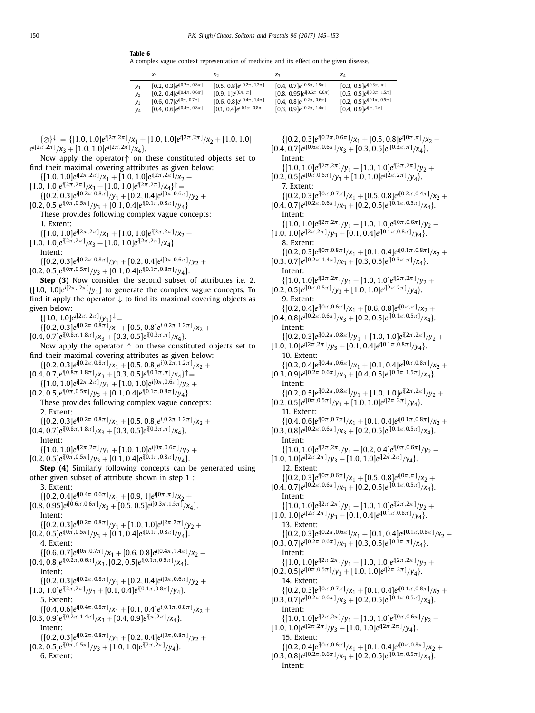<span id="page-5-0"></span>**Table 6**

A complex vague context representation of medicine and its effect on the given disease.

|                | $x_1$                              | $x_2$                              | $X_3$                              | $\chi_4$                           |
|----------------|------------------------------------|------------------------------------|------------------------------------|------------------------------------|
| $y_1$          | [0.2, 0.3] $e^{i[0.2\pi, 0.8\pi]}$ | [0.5, 0.8] $e^{i[0.2\pi, 1.2\pi]}$ | [0.4, 0.7] $e^{i[0.8\pi, 1.8\pi]}$ | [0.3, 0.5] $e^{i[0.3\pi, \pi]}$    |
| y <sub>2</sub> | [0.2, 0.4] $e^{i[0.4\pi, 0.6\pi]}$ | [0.9, 1] $e^{i[0\pi, \pi]}$        | $[0.8, 0.95]e^{i[0.6\pi, 0.6\pi]}$ | $[0.5, 0.5]e^{i[0.3\pi, 1.5\pi]}$  |
| y <sub>3</sub> | [0.6, 0.7] $e^{i[0\pi, 0.7\pi]}$   | [0.6, 0.8] $e^{i[0.4\pi, 1.4\pi]}$ | [0.4, 0.8] $e^{i[0.2\pi, 0.6\pi]}$ | [0.2, 0.5] $e^{i[0.1\pi, 0.5\pi]}$ |
| y4             | [0.4, 0.6] $e^{i[0.4\pi, 0.8\pi]}$ | $[0.1, 0.4]e^{i[0.1\pi, 0.8\pi]}$  | [0.3, 0.9] $e^{i[0.2\pi, 1.4\pi]}$ | [0.4, 0.9] $e^{i[\pi, 2\pi]}$      |

$$
\{ \oslash \}^{\downarrow} = \{ [1.0, 1.0] e^{i[2\pi, 2\pi]} / x_1 + [1.0, 1.0] e^{i[2\pi, 2\pi]} / x_2 + [1.0, 1.0] e^{i[2\pi, 2\pi]} / x_3 + [1.0, 1.0] e^{i[2\pi, 2\pi]} / x_4 \}.
$$

Now apply the operator↑ on these constituted objects set to find their maximal covering attributes as given below:

 $\{[1.0, 1.0]e^{i[2\pi, 2\pi]}/x_1 + [1.0, 1.0]e^{i[2\pi, 2\pi]}/x_2 +$  $[1.0, 1.0]e^{i[2\pi, 2\pi]}/x_3 + [1.0, 1.0]e^{i[2\pi, 2\pi]}/x_4$  $\{[0.2, 0.3]e^{i[0.2\pi, 0.8\pi]}/y_1 + [0.2, 0.4]e^{i[0\pi, 0.6\pi]}/y_2 +$  $[0.2, 0.5]e^{i[0\pi, 0.5\pi]}/y_3 + [0.1, 0.4]e^{i[0.1\pi, 0.8\pi]}/y_4$ These provides following complex vague concepts: 1. Extent:  $\{[1.0, 1.0]e^{i[2\pi, 2\pi]}/x_1 + [1.0, 1.0]e^{i[2\pi, 2\pi]}/x_2 +$  $[1.0, 1.0]e^{i[2\pi, 2\pi]}/x_3 + [1.0, 1.0]e^{i[2\pi, 2\pi]}/x_4$ Intent:  $\{[0.2, 0.3]e^{i[0.2\pi, 0.8\pi]}/y_1 + [0.2, 0.4]e^{i[0\pi, 0.6\pi]}/y_2 +$  $[0.2, 0.5]e^{i[0\pi, 0.5\pi]}/y_3 + [0.1, 0.4]e^{i[0.1\pi, 0.8\pi]}/y_4$ . **Step (3)** Now consider the second subset of attributes i.e. 2.  $\{ [1.0, 1.0]e^{i[2\pi, 2\pi]}|y_1\}$  to generate the complex vague concepts. To find it apply the operator  $\downarrow$  to find its maximal covering objects as given below:  $\{[1.0, 1.0]e^{i[2\pi, 2\pi]}/y_1\}^{\downarrow} =$  $\{[0.2, 0.3]e^{i[0.2\pi, 0.8\pi]}/x_1 + [0.5, 0.8]e^{i[0.2\pi, 1.2\pi]}/x_2 +$  $[0.4, 0.7]e^{i[0.8\pi, 1.8\pi]}/x_3 + [0.3, 0.5]e^{i[0.3\pi, \pi]}/x_4$ . Now apply the operator ↑ on these constituted objects set to find their maximal covering attributes as given below:  $\{[0.2, 0.3]e^{i[0.2\pi, 0.8\pi]}/x_1 + [0.5, 0.8]e^{i[0.2\pi, 1.2\pi]}/x_2 +$  $[0.4, 0.7]e^{i[0.8\pi, 1.8\pi]}/x_3 + [0.3, 0.5]e^{i[0.3\pi, \pi]}/x_4\}$  $\{[1.0, 1.0]e^{i[2\pi, 2\pi]}/y_1 + [1.0, 1.0]e^{i[0\pi, 0.6\pi]}/y_2 +$  $[0.2, 0.5]e^{i[0\pi, 0.5\pi]}/y_3 + [0.1, 0.4]e^{i[0.1\pi, 0.8\pi]}/y_4$ . These provides following complex vague concepts: 2. Extent:  $\{[0.2, 0.3]e^{i[0.2\pi, 0.8\pi]}/x_1 + [0.5, 0.8]e^{i[0.2\pi, 1.2\pi]}/x_2 +$  $[0.4, 0.7]e^{i[0.8\pi, 1.8\pi]}/x_3 + [0.3, 0.5]e^{i[0.3\pi, \pi]}/x_4$ . Intent:  $\{[1.0, 1.0]e^{i[2\pi, 2\pi]}/y_1 + [1.0, 1.0]e^{i[0\pi, 0.6\pi]}/y_2 +$  $[0.2, 0.5]e^{i[0\pi, 0.5\pi]}/y_3 + [0.1, 0.4]e^{i[0.1\pi, 0.8\pi]}/y_4$ . **Step (4)** Similarly following concepts can be generated using other given subset of attribute shown in step 1 : 3. Extent:  $\{[0.2, 0.4]e^{i[0.4\pi, 0.6\pi]}/x_1 + [0.9, 1]e^{i[0\pi, \pi]}/x_2 +$  $[0.8, 0.95]e^{i[0.6\pi, 0.6\pi]}/x_3 + [0.5, 0.5]e^{i[0.3\pi, 1.5\pi]}/x_4$ . Intent:  $\{[0.2, 0.3]e^{i[0.2\pi, 0.8\pi]}/y_1 + [1.0, 1.0]e^{i[2\pi, 2\pi]}/y_2 +$  $[0.2, 0.5]e^{i[0\pi, 0.5\pi]}/y_3 + [0.1, 0.4]e^{i[0.1\pi, 0.8\pi]}/y_4$ . 4. Extent:  $\{[0.6, 0.7]e^{i[0\pi, 0.7\pi]}/x_1 + [0.6, 0.8]e^{i[0.4\pi, 1.4\pi]}/x_2 +$  $[0.4, 0.8]e^{i[0.2\pi, 0.6\pi]}/x_3$ ,  $[0.2, 0.5]e^{i[0.1\pi, 0.5\pi]}/x_4$ . Intent:  $\{[0.2, 0.3]e^{i[0.2\pi, 0.8\pi]}/y_1 + [0.2, 0.4]e^{i[0\pi, 0.6\pi]}/y_2 +$  $[1.0, 1.0]e^{i[2\pi, 2\pi]}/y_3 + [0.1, 0.4]e^{i[0.1\pi, 0.8\pi]}/y_4$ . 5. Extent:  $\{[0.4, 0.6]e^{i[0.4\pi, 0.8\pi]}/x_1 + [0.1, 0.4]e^{i[0.1\pi, 0.8\pi]}/x_2 +$  $[0.3, 0.9]e^{i[0.2\pi, 1.4\pi]}/x_3 + [0.4, 0.9]e^{i[\pi, 2\pi]}/x_4$ . Intent:  $\{[0.2, 0.3]e^{i[0.2\pi, 0.8\pi]}/y_1 + [0.2, 0.4]e^{i[0\pi, 0.8\pi]}/y_2 +$  $[0.2, 0.5]e^{i[0\pi, 0.5\pi]}/y_3 + [1.0, 1.0]e^{i[2\pi, 2\pi]}/y_4$ .

6. Extent:

 $\{[0.2, 0.3]e^{i[0.2\pi, 0.6\pi]}/x_1 + [0.5, 0.8]e^{i[0\pi, \pi]}/x_2 +$  $[0.4, 0.7]e^{i[0.6\pi, 0.6\pi]}/x_3 + [0.3, 0.5]e^{i[0.3\pi, \pi]}/x_4$ . Intent:  $\{[1.0, 1.0]e^{i[2\pi, 2\pi]}/y_1 + [1.0, 1.0]e^{i[2\pi, 2\pi]}/y_2 +$  $[0.2, 0.5]e^{i[0\pi, 0.5\pi]}/y_3 + [1.0, 1.0]e^{i[2\pi, 2\pi]}/y_4$ 7. Extent:  $\{[0.2, 0.3]e^{i[0\pi, 0.7\pi]}/x_1 + [0.5, 0.8]e^{i[0.2\pi, 0.4\pi]}/x_2 +$  $[0.4, 0.7]e^{i[0.2\pi, 0.6\pi]}/x_3 + [0.2, 0.5]e^{i[0.1\pi, 0.5\pi]}/x_4$ . Intent:  $\{[1.0, 1.0]e^{i[2\pi, 2\pi]}/y_1 + [1.0, 1.0]e^{i[0\pi, 0.6\pi]}/y_2 +$  $[1.0, 1.0]e^{i[2\pi, 2\pi]}/y_3 + [0.1, 0.4]e^{i[0.1\pi, 0.8\pi]}/y_4$ . 8. Extent:  $\{[0.2, 0.3]e^{i[0\pi, 0.8\pi]}/x_1 + [0.1, 0.4]e^{i[0.1\pi, 0.8\pi]}/x_2 +$  $[0.3, 0.7]e^{i[0.2\pi, 1.4\pi]}/x_3 + [0.3, 0.5]e^{i[0.3\pi, \pi]}/x_4$ . Intent:  $\{[1.0, 1.0]e^{i[2\pi, 2\pi]}/y_1 + [1.0, 1.0]e^{i[2\pi, 2\pi]}/y_2 +$  $[0.2, 0.5]e^{i[0\pi, 0.5\pi]}/y_3 + [1.0, 1.0]e^{i[2\pi, 2\pi]}/y_4$ . 9. Extent:  $\{[0.2, 0.4]e^{i[0\pi, 0.6\pi]}/x_1 + [0.6, 0.8]e^{i[0\pi, \pi]}/x_2 +$  $[0.4, 0.8]e^{i[0.2\pi, 0.6\pi]}/x_3 + [0.2, 0.5]e^{i[0.1\pi, 0.5\pi]}/x_4$ . Intent:  $\{[0.2, 0.3]e^{i[0.2\pi, 0.8\pi]}/y_1 + [1.0, 1.0]e^{i[2\pi, 2\pi]}/y_2 +$  $[1.0, 1.0]e^{i[2\pi, 2\pi]}/y_3 + [0.1, 0.4]e^{i[0.1\pi, 0.8\pi]}/y_4$ . 10. Extent:  $\{[0.2, 0.4]e^{i[0.4\pi, 0.6\pi]}/x_1 + [0.1, 0.4]e^{i[0\pi, 0.8\pi]}/x_2 +$  $[0.3, 0.9]e^{i[0.2\pi, 0.6\pi]}/x_3 + [0.4, 0.5]e^{i[0.3\pi, 1.5\pi]}/x_4$ . Intent:  $\{[0.2, 0.5]e^{i[0.2\pi, 0.8\pi]}/y_1 + [1.0, 1.0]e^{i[2\pi, 2\pi]}/y_2 +$  $[0.2, 0.5]e^{i[0\pi, 0.5\pi]}/y_3 + [1.0, 1.0]e^{i[2\pi, 2\pi]}/y_4$ . 11. Extent:  $\{[0.4, 0.6]e^{i[0\pi, 0.7\pi]}/x_1 + [0.1, 0.4]e^{i[0.1\pi, 0.8\pi]}/x_2 +$  $[0.3, 0.8]e^{i[0.2\pi, 0.6\pi]}/x_3 + [0.2, 0.5]e^{i[0.1\pi, 0.5\pi]}/x_4$ . Intent:  $\{[1.0, 1.0]e^{i[2\pi, 2\pi]}/y_1 + [0.2, 0.4]e^{i[0\pi, 0.6\pi]}/y_2 +$  $[1.0, 1.0]e^{i[2\pi, 2\pi]}/y_3 + [1.0, 1.0]e^{i[2\pi, 2\pi]}/y_4$ . 12. Extent:  $\{[0.2, 0.3]e^{i[0\pi, 0.6\pi]}/x_1 + [0.5, 0.8]e^{i[0\pi, \pi]}/x_2 +$  $[0.4, 0.7]e^{i[0.2\pi, 0.6\pi]}/x_3 + [0.2, 0.5]e^{i[0.1\pi, 0.5\pi]}/x_4$ . Intent:  $\{[1.0, 1.0]e^{i[2\pi, 2\pi]}/y_1 + [1.0, 1.0]e^{i[2\pi, 2\pi]}/y_2 +$  $[1.0, 1.0]e^{i[2\pi, 2\pi]}/y_3 + [0.1, 0.4]e^{i[0.1\pi, 0.8\pi]}/y_4$ . 13. Extent:  $\{[0.2, 0.3]e^{i[0.2\pi, 0.6\pi]}/x_1 + [0.1, 0.4]e^{i[0.1\pi, 0.8\pi]}/x_2 +$  $[0.3, 0.7]e^{i[0.2\pi, 0.6\pi]}/x_3 + [0.3, 0.5]e^{i[0.3\pi, \pi]}/x_4$ . Intent:  $\{[1.0, 1.0]e^{i[2\pi, 2\pi]}/y_1 + [1.0, 1.0]e^{i[2\pi, 2\pi]}/y_2 +$  $[0.2, 0.5]e^{i[0\pi, 0.5\pi]}/y_3 + [1.0, 1.0]e^{i[2\pi, 2\pi]}/y_4$ 14. Extent:  $\{[0.2, 0.3]e^{i[0\pi, 0.7\pi]}/x_1 + [0.1, 0.4]e^{i[0.1\pi, 0.8\pi]}/x_2 +$  $[0.3, 0.7]e^{i[0.2\pi, 0.6\pi]}/x_3 + [0.2, 0.5]e^{i[0.1\pi, 0.5\pi]}/x_4$ . Intent:  $\{[1.0, 1.0]e^{i[2\pi, 2\pi]}/y_1 + [1.0, 1.0]e^{i[0\pi, 0.6\pi]}/y_2 +$  $[1.0, 1.0]e^{i[2\pi, 2\pi]}/y_3 + [1.0, 1.0]e^{i[2\pi, 2\pi]}/y_4$ .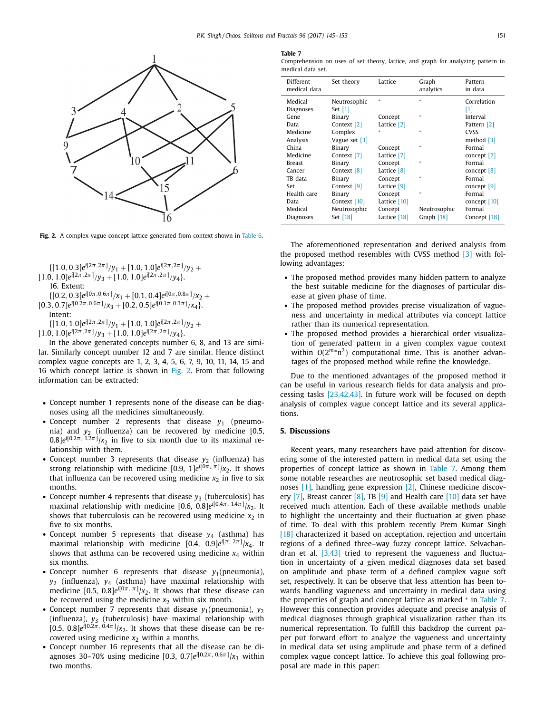<span id="page-6-0"></span>

**Fig. 2.** A complex vague concept lattice generated from context shown in [Table](#page-5-0) 6.

 $\{[1.0, 0.3]e^{i[2\pi, 2\pi]}/y_1 + [1.0, 1.0]e^{i[2\pi, 2\pi]}/y_2 +$  $[1.0, 1.0]e^{i[2\pi, 2\pi]}/y_3 + [1.0, 1.0]e^{i[2\pi, 2\pi]}/y_4$ . 16. Extent:  $\{[0.2, 0.3]e^{i[0\pi, 0.6\pi]}/x_1 + [0.1, 0.4]e^{i[0\pi, 0.8\pi]}/x_2 +$  $[0.3, 0.7]e^{i[0.2\pi, 0.6\pi]}/x_3 + [0.2, 0.5]e^{i[0.1\pi, 0.3\pi]}/x_4$ . Intent:  $\{[1.0, 1.0]e^{i[2\pi, 2\pi]}/y_1 + [1.0, 1.0]e^{i[2\pi, 2\pi]}/y_2 +$ 

 $[1.0, 1.0]e^{i[2\pi, 2\pi]}/y_3 + [1.0, 1.0]e^{i[2\pi, 2\pi]}/y_4$ .

In the above generated concepts number 6, 8, and 13 are similar. Similarly concept number 12 and 7 are similar. Hence distinct complex vague concepts are 1, 2, 3, 4, 5, 6, 7, 9, 10, 11, 14, 15 and 16 which concept lattice is shown in Fig. 2. From that following information can be extracted:

- Concept number 1 represents none of the disease can be diagnoses using all the medicines simultaneously.
- Concept number 2 represents that disease  $y_1$  (pneumonia) and *y*<sup>2</sup> (influenza) can be recovered by medicine [0.5,  $0.8$ ] $e^{i[0.2\pi, 1.2\pi]}$ / $x_2$  in five to six month due to its maximal relationship with them.
- Concept number 3 represents that disease  $y_2$  (influenza) has strong relationship with medicine [0.9, 1]*ei*[0π*,* π] /*x*2. It shows that influenza can be recovered using medicine  $x_2$  in five to six months.
- Concept number 4 represents that disease  $y_3$  (tuberculosis) has maximal relationship with medicine [0.6, 0.8]*ei*[0.4π, 1.4π] /*x*2. It shows that tuberculosis can be recovered using medicine  $x_2$  in five to six months.
- Concept number 5 represents that disease  $y_4$  (asthma) has maximal relationship with medicine [0.4, 0.9]*ei*[π, <sup>2</sup>π] /*x*4. It shows that asthma can be recovered using medicine  $x_4$  within six months.
- Concept number 6 represents that disease  $y_1$ (pneumonia), *y*<sup>2</sup> (influenza), *y*<sup>4</sup> (asthma) have maximal relationship with medicine  $[0.5, 0.8]e^{i[0\pi, \pi]}$ / $x_2$ . It shows that these disease can be recovered using the medicine  $x_2$  within six month.
- Concept number 7 represents that disease  $y_1$ (pneumonia),  $y_2$ (influenza),  $y_3$  (tuberculosis) have maximal relationship with  $[0.5, 0.8]e^{i[0.2\pi, 0.4\pi]}$ / $x_2$ . It shows that these disease can be recovered using medicine  $x_2$  within a months.
- Concept number 16 represents that all the disease can be diagnoses 30–70% using medicine [0.3, 0.7]*ei*[0.2π, 0.6π] /*x*<sup>3</sup> within two months.

#### **Table 7**

| Comprehension on uses of set theory, lattice, and graph for analyzing pattern in |  |  |  |  |  |
|----------------------------------------------------------------------------------|--|--|--|--|--|
| medical data set.                                                                |  |  |  |  |  |

| Different<br>medical data | Set theory    | Lattice      | Graph<br>analytics | Pattern<br>in data |
|---------------------------|---------------|--------------|--------------------|--------------------|
| Medical                   | Neutrosophic  | $\star$      | $\ast$             | Correlation        |
| <b>Diagnoses</b>          | Set $[1]$     |              |                    | [1]                |
| Gene                      | Binary        | Concept      | $*$                | Interval           |
| Data                      | Context [2]   | Lattice [2]  |                    | Pattern [2]        |
| Medicine                  | Complex       |              | $\ast$             | <b>CVSS</b>        |
| Analysis                  | Vague set [3] |              |                    | method $[3]$       |
| China                     | Binary        | Concept      | $*$                | Formal             |
| Medicine                  | Context [7]   | Lattice [7]  |                    | concept [7]        |
| Breast                    | Binary        | Concept      | $*$                | Formal             |
| Cancer                    | Context [8]   | Lattice [8]  |                    | concept $[8]$      |
| TB data                   | Binary        | Concept      | $\ast$             | Formal             |
| Set                       | Context [9]   | Lattice [9]  |                    | concept $[9]$      |
| Health care               | Binary        | Concept      | $\ast$             | Formal             |
| Data                      | Context [10]  | Lattice [10] |                    | concept $[10]$     |
| Medical                   | Neutrosophic  | Concept      | Neutrosophic       | Formal             |
| Diagnoses                 | Set [18]      | Lattice [18] | Graph [18]         | Concept [18]       |

The aforementioned representation and derived analysis from the proposed method resembles with CVSS method [\[3\]](#page-7-0) with following advantages:

- The proposed method provides many hidden pattern to analyze the best suitable medicine for the diagnoses of particular disease at given phase of time.
- The proposed method provides precise visualization of vagueness and uncertainty in medical attributes via concept lattice rather than its numerical representation.
- The proposed method provides a hierarchical order visualization of generated pattern in a given complex vague context within  $O(2^{m*}n^2)$  computational time. This is another advantages of the proposed method while refine the knowledge.

Due to the mentioned advantages of the proposed method it can be useful in various research fields for data analysis and processing tasks [\[23,42,43\].](#page-7-0) In future work will be focused on depth analysis of complex vague concept lattice and its several applications.

## **5. Discussions**

Recent years, many researchers have paid attention for discovering some of the interested pattern in medical data set using the properties of concept lattice as shown in Table 7. Among them some notable researches are neutrosophic set based medical diagnoses [\[1\],](#page-7-0) handling gene expression [\[2\],](#page-7-0) Chinese medicine discovery  $[7]$ , Breast cancer  $[8]$ , TB  $[9]$  and Health care  $[10]$  data set have received much attention. Each of these available methods unable to highlight the uncertainty and their fluctuation at given phase of time. To deal with this problem recently Prem Kumar Singh [\[18\]](#page-7-0) characterized it based on acceptation, rejection and uncertain regions of a defined three–way fuzzy concept lattice. Selvachandran et al. [\[3,43\]](#page-7-0) tried to represent the vagueness and fluctuation in uncertainty of a given medical diagnoses data set based on amplitude and phase term of a defined complex vague soft set, respectively. It can be observe that less attention has been towards handling vagueness and uncertainty in medical data using the properties of graph and concept lattice as marked <sup>∗</sup> in Table 7. However this connection provides adequate and precise analysis of medical diagnoses through graphical visualization rather than its numerical representation. To fulfill this backdrop the current paper put forward effort to analyze the vagueness and uncertainty in medical data set using amplitude and phase term of a defined complex vague concept lattice. To achieve this goal following proposal are made in this paper: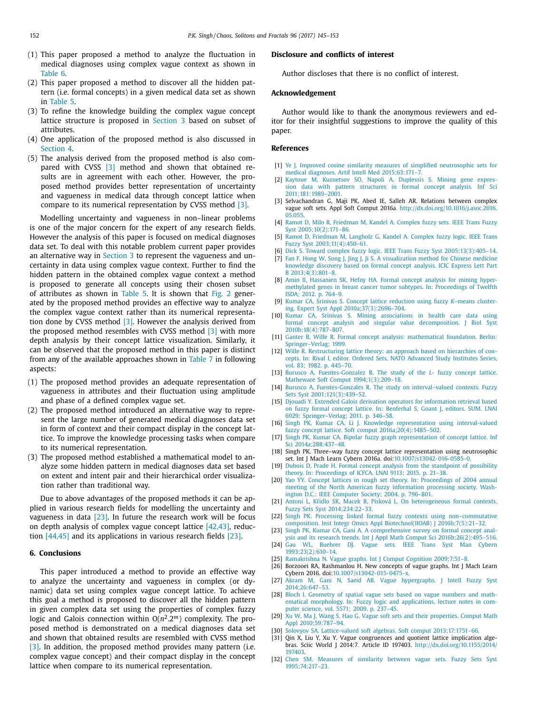- <span id="page-7-0"></span>(1) This paper proposed a method to analyze the fluctuation in medical diagnoses using complex vague context as shown in [Table](#page-5-0) 6.
- (2) This paper proposed a method to discover all the hidden pattern (i.e. formal concepts) in a given medical data set as shown in [Table](#page-3-0) 5.
- (3) To refine the knowledge building the complex vague concept lattice structure is proposed in [Section](#page-2-0) 3 based on subset of attributes.
- (4) One application of the proposed method is also discussed in [Section](#page-4-0) 4.
- (5) The analysis derived from the proposed method is also compared with CVSS [3] method and shown that obtained results are in agreement with each other. However, the proposed method provides better representation of uncertainty and vagueness in medical data through concept lattice when compare to its numerical representation by CVSS method [3].

Modelling uncertainty and vagueness in non–linear problems is one of the major concern for the expert of any research fields. However the analysis of this paper is focused on medical diagnoses data set. To deal with this notable problem current paper provides an alternative way in [Section](#page-2-0) 3 to represent the vagueness and uncertainty in data using complex vague context. Further to find the hidden pattern in the obtained complex vague context a method is proposed to generate all concepts using their chosen subset of attributes as shown in [Table](#page-3-0) 5. It is shown that [Fig.](#page-6-0) 2 generated by the proposed method provides an effective way to analyze the complex vague context rather than its numerical representation done by CVSS method [3]. However the analysis derived from the proposed method resembles with CVSS method [3] with more depth analysis by their concept lattice visualization. Similarly, it can be observed that the proposed method in this paper is distinct from any of the available approaches shown in [Table](#page-6-0) 7 in following aspects:

- (1) The proposed method provides an adequate representation of vagueness in attributes and their fluctuation using amplitude and phase of a defined complex vague set.
- (2) The proposed method introduced an alternative way to represent the large number of generated medical diagnoses data set in form of context and their compact display in the concept lattice. To improve the knowledge processing tasks when compare to its numerical representation.
- (3) The proposed method established a mathematical model to analyze some hidden pattern in medical diagnoses data set based on extent and intent pair and their hierarchical order visualization rather than traditional way.

Due to above advantages of the proposed methods it can be applied in various research fields for modelling the uncertainty and vagueness in data [23]. In future the research work will be focus on depth analysis of complex vague concept lattice [\[42,43\],](#page-8-0) reduction [\[44,45\]](#page-8-0) and its applications in various research fields [23].

#### **6. Conclusions**

This paper introduced a method to provide an effective way to analyze the uncertainty and vagueness in complex (or dynamic) data set using complex vague concept lattice. To achieve this goal a method is proposed to discover all the hidden pattern in given complex data set using the properties of complex fuzzy logic and Galois connection within  $O(n^2.2^m)$  complexity. The proposed method is demonstrated on a medical diagnoses data set and shown that obtained results are resembled with CVSS method [3]. In addition, the proposed method provides many pattern (i.e. complex vague concept) and their compact display in the concept lattice when compare to its numerical representation.

## **Disclosure and conflicts of interest**

Author discloses that there is no conflict of interest.

#### **Acknowledgement**

Author would like to thank the anonymous reviewers and editor for their insightful suggestions to improve the quality of this paper.

## **References**

- [1] [Ye](http://refhub.elsevier.com/S0960-0779(17)30025-5/sbref0001) J. Improved cosine similarity measures of simplified neutrosophic sets for medical diagnoses. Artif Intell Med [2015;63:171–7.](http://refhub.elsevier.com/S0960-0779(17)30025-5/sbref0001)
- [2] [Kaytoue](http://refhub.elsevier.com/S0960-0779(17)30025-5/sbref0002) M, [Kuznetsov](http://refhub.elsevier.com/S0960-0779(17)30025-5/sbref0002) SO, [Napoli](http://refhub.elsevier.com/S0960-0779(17)30025-5/sbref0002) A, [Duplessis](http://refhub.elsevier.com/S0960-0779(17)30025-5/sbref0002) S. Mining gene expression data with pattern structures in formal concept analysis. Inf Sci [2011;181:1989–2001.](http://refhub.elsevier.com/S0960-0779(17)30025-5/sbref0002)
- [3] Selvachandran G, Maji PK, Abed IE, Salleh AR. Relations between complex vague soft sets. Appl Soft Comput 2016a. [http://dx.doi.org/10.1016/j.asoc.2016.](http://dx.doi.org/10.1016/j.asoc.2016.05.055) 05.055.
- [4] [Ramot](http://refhub.elsevier.com/S0960-0779(17)30025-5/sbref0004) D, [Milo](http://refhub.elsevier.com/S0960-0779(17)30025-5/sbref0004) R, [Friedman](http://refhub.elsevier.com/S0960-0779(17)30025-5/sbref0004) M, [Kandel](http://refhub.elsevier.com/S0960-0779(17)30025-5/sbref0004) A. Complex fuzzy sets. IEEE Trans Fuzzy Syst [2005;10\(2\):171–86.](http://refhub.elsevier.com/S0960-0779(17)30025-5/sbref0004)
- [5] [Ramot](http://refhub.elsevier.com/S0960-0779(17)30025-5/sbref0005) D, [Friedman](http://refhub.elsevier.com/S0960-0779(17)30025-5/sbref0005) M, [Langholz](http://refhub.elsevier.com/S0960-0779(17)30025-5/sbref0005) G, [Kandel](http://refhub.elsevier.com/S0960-0779(17)30025-5/sbref0005) A. Complex fuzzy logic. IEEE Trans Fuzzy Syst [2003;11\(4\):450–61.](http://refhub.elsevier.com/S0960-0779(17)30025-5/sbref0005)
- [6] [Dick](http://refhub.elsevier.com/S0960-0779(17)30025-5/sbref0006) S. Toward complex fuzzy logic. IEEE Trans Fuzzy Syst [2005;13\(3\):405–14.](http://refhub.elsevier.com/S0960-0779(17)30025-5/sbref0006)
- [7] [Fan](http://refhub.elsevier.com/S0960-0779(17)30025-5/sbref0007) F, [Hong](http://refhub.elsevier.com/S0960-0779(17)30025-5/sbref0007) W, [Song](http://refhub.elsevier.com/S0960-0779(17)30025-5/sbref0007) J, [Jing](http://refhub.elsevier.com/S0960-0779(17)30025-5/sbref0007) J, Ji [S.](http://refhub.elsevier.com/S0960-0779(17)30025-5/sbref0007) A visualization method for Chinese medicine knowledge discovery based on formal concept analysis. ICIC Express Lett Part B [2013;4\(3\):801–8.](http://refhub.elsevier.com/S0960-0779(17)30025-5/sbref0007)
- [8] [Amin](http://refhub.elsevier.com/S0960-0779(17)30025-5/sbref0008) II, [Hassanien](http://refhub.elsevier.com/S0960-0779(17)30025-5/sbref0008) SK, [Hefny](http://refhub.elsevier.com/S0960-0779(17)30025-5/sbref0008) HA. Formal concept analysis for mining hypermethylated genes in breast cancer tumor subtypes. In: [Proceedings](http://refhub.elsevier.com/S0960-0779(17)30025-5/sbref0008) of Twelfth ISDA; 2012. p. 764–9.
- [9] [Kumar](http://refhub.elsevier.com/S0960-0779(17)30025-5/sbref0009) CA, [Srinivas](http://refhub.elsevier.com/S0960-0779(17)30025-5/sbref0009) S. Concept lattice reduction using fuzzy *K*–means clustering. Expert Syst Appl [2010a;37\(3\):2696–704.](http://refhub.elsevier.com/S0960-0779(17)30025-5/sbref0009)
- [10] [Kumar](http://refhub.elsevier.com/S0960-0779(17)30025-5/sbref0010) CA, [Srinivas](http://refhub.elsevier.com/S0960-0779(17)30025-5/sbref0010) S. Mining associations in health care data using formal concept analysis and singular value decomposition. J Biol Syst [2010b;18\(4\):787–807.](http://refhub.elsevier.com/S0960-0779(17)30025-5/sbref0010)
- [11] [Ganter](http://refhub.elsevier.com/S0960-0779(17)30025-5/sbref0011) B, [Wille](http://refhub.elsevier.com/S0960-0779(17)30025-5/sbref0011) R. Formal concept analysis: mathematical foundation. Berlin: [Springer–Verlag;](http://refhub.elsevier.com/S0960-0779(17)30025-5/sbref0011) 1999.
- [12] [Wille](http://refhub.elsevier.com/S0960-0779(17)30025-5/sbref0012) R. [Restructuring](http://refhub.elsevier.com/S0960-0779(17)30025-5/sbref0012) lattice theory: an approach based on hierarchies of concepts. In: Rival I, editor. Ordered Sets, NATO Advanced Study Institutes Series, vol. 83; 1982. p. 445–70.
- [13] [Burusco](http://refhub.elsevier.com/S0960-0779(17)30025-5/sbref0013) A, [Fuentes-Gonzalez](http://refhub.elsevier.com/S0960-0779(17)30025-5/sbref0013) R. The study of the *L* fuzzy concept lattice. Matheware Soft Comput [1994;1\(3\):209–18.](http://refhub.elsevier.com/S0960-0779(17)30025-5/sbref0013)
- [14] [Burusco](http://refhub.elsevier.com/S0960-0779(17)30025-5/sbref0014) A, [Fuentes-Gonzales](http://refhub.elsevier.com/S0960-0779(17)30025-5/sbref0014) R. The study on interval–valued contexts. Fuzzy Sets Syst [2001;121\(3\):439–52.](http://refhub.elsevier.com/S0960-0779(17)30025-5/sbref0014)
- [15] [Djouadi](http://refhub.elsevier.com/S0960-0779(17)30025-5/sbref0015) Y. Extended Galois derivation operators for information retrieval based on fuzzy formal concept lattice. In: Benferhal S, Goant J, editors. SUM. LNAI 6929: [Springer–Verlag;](http://refhub.elsevier.com/S0960-0779(17)30025-5/sbref0015) 2011. p. 346–58.
- [16] [Singh](http://refhub.elsevier.com/S0960-0779(17)30025-5/sbref0016) PK, [Kumar](http://refhub.elsevier.com/S0960-0779(17)30025-5/sbref0016) CA, [Li](http://refhub.elsevier.com/S0960-0779(17)30025-5/sbref0016) J. Knowledge representation using interval-valued fuzzy concept lattice. Soft comput [2016a;20\(4\):1485–502.](http://refhub.elsevier.com/S0960-0779(17)30025-5/sbref0016)
- [17] [Singh](http://refhub.elsevier.com/S0960-0779(17)30025-5/sbref0017) PK, [Kumar](http://refhub.elsevier.com/S0960-0779(17)30025-5/sbref0017) CA. Bipolar fuzzy graph representation of concept lattice. Inf Sci [2014a;288:437–48.](http://refhub.elsevier.com/S0960-0779(17)30025-5/sbref0017)
- [18] Singh PK. Three–way fuzzy concept lattice representation using neutrosophic set. Int J Mach Learn Cybern 2016a. doi[:10.1007/s13042-016-0585-0.](http://dx.doi.org/10.1007/s13042-016-0585-0)
- [19] [Dubois](http://refhub.elsevier.com/S0960-0779(17)30025-5/sbref0019) D, [Prade](http://refhub.elsevier.com/S0960-0779(17)30025-5/sbref0019) H. Formal concept analysis from the standpoint of possibility theory. In: [Proceedings](http://refhub.elsevier.com/S0960-0779(17)30025-5/sbref0019) of ICFCA. LNAI 9113; 2015. p. 21–38.
- [20] [Yao](http://refhub.elsevier.com/S0960-0779(17)30025-5/sbref0020) YY. Concept lattices in rough set theory. In: [Proceedings](http://refhub.elsevier.com/S0960-0779(17)30025-5/sbref0020) of 2004 annual meeting of the North American fuzzy information processing society. Washington D.C.: IEEE Computer Society; 2004. p. 796–801.
- [21] [Antoni](http://refhub.elsevier.com/S0960-0779(17)30025-5/sbref0021) L, [Kridlo](http://refhub.elsevier.com/S0960-0779(17)30025-5/sbref0021) SK, [Macek](http://refhub.elsevier.com/S0960-0779(17)30025-5/sbref0021) B, [Pisková L.](http://refhub.elsevier.com/S0960-0779(17)30025-5/sbref0021) On heterogeneous formal contexts. Fuzzy Sets Syst [2014;234:22–33.](http://refhub.elsevier.com/S0960-0779(17)30025-5/sbref0021)
- [22] [Singh](http://refhub.elsevier.com/S0960-0779(17)30025-5/sbref0022) PK. Processing linked formal fuzzy contexts using non–commutative composition. Inst Integr Omics Appl Biotechnol(IIOAB) J [2016b;7\(5\):21–32.](http://refhub.elsevier.com/S0960-0779(17)30025-5/sbref0022)
- [23] [Singh](http://refhub.elsevier.com/S0960-0779(17)30025-5/sbref0023) PK, [Kumar](http://refhub.elsevier.com/S0960-0779(17)30025-5/sbref0023) CA, [Gani](http://refhub.elsevier.com/S0960-0779(17)30025-5/sbref0023) A. A comprehensive survey on formal concept analysis and its research trends. Int J Appl Math Comput Sci [2016b;26\(2\):495–516.](http://refhub.elsevier.com/S0960-0779(17)30025-5/sbref0023)
- [24] [Gau](http://refhub.elsevier.com/S0960-0779(17)30025-5/sbref0024) WL, [Buehrer](http://refhub.elsevier.com/S0960-0779(17)30025-5/sbref0024) DJ. Vague sets. IEEE Trans Syst Man Cybern [1993;23\(2\):610–14.](http://refhub.elsevier.com/S0960-0779(17)30025-5/sbref0024)
- [25] [Ramakrishna](http://refhub.elsevier.com/S0960-0779(17)30025-5/sbref0025) N. Vague graphs. Int J Comput Cognition [2009;7:51–8.](http://refhub.elsevier.com/S0960-0779(17)30025-5/sbref0025)
- [26] Borzooei RA, Rashmanlou H. New concepts of vague graphs. Int J Mach Learn Cybern 2016. doi[:10.1007/s13042-015-0475-x.](http://dx.doi.org/10.1007/s13042-015-0475-x)
- [27] [Akram](http://refhub.elsevier.com/S0960-0779(17)30025-5/sbref0027) M, [Gani](http://refhub.elsevier.com/S0960-0779(17)30025-5/sbref0027) N, [Saeid](http://refhub.elsevier.com/S0960-0779(17)30025-5/sbref0027) AB. Vague hypergraphs. J Intell Fuzzy Syst [2014;26:647–53.](http://refhub.elsevier.com/S0960-0779(17)30025-5/sbref0027)
- [28] [Bloch](http://refhub.elsevier.com/S0960-0779(17)30025-5/sbref0028) I. Geometry of spatial vague sets based on vague numbers and mathematical morphology. In: Fuzzy logic and [applications,](http://refhub.elsevier.com/S0960-0779(17)30025-5/sbref0028) lecture notes in computer science, vol. 5571; 2009. p. 237–45.
- [29] [Xu](http://refhub.elsevier.com/S0960-0779(17)30025-5/sbref0029) W, [Ma](http://refhub.elsevier.com/S0960-0779(17)30025-5/sbref0029) J, [Wang](http://refhub.elsevier.com/S0960-0779(17)30025-5/sbref0029) S, [Hao](http://refhub.elsevier.com/S0960-0779(17)30025-5/sbref0029) G. Vague soft sets and their properties. Comput Math Appl [2010;59:787–94.](http://refhub.elsevier.com/S0960-0779(17)30025-5/sbref0029)
- [30] [Solovyov](http://refhub.elsevier.com/S0960-0779(17)30025-5/sbref0030) SA. Lattice-valued soft algebras. Soft comput 2013;17:1751-66.
- [31] Qin X, Liu Y, Xu Y. Vague congruences and quotient lattice implication algebras. Sciic World J 2014:7. Article ID 197403. [http://dx.doi.org/10.1155/2014/](http://dx.doi.org/10.1155/2014/197403) 197403.
- [32] [Chen](http://refhub.elsevier.com/S0960-0779(17)30025-5/sbref0032) SM. Measures of similarity between vague sets. Fuzzy Sets Syst [1995;74:217–23.](http://refhub.elsevier.com/S0960-0779(17)30025-5/sbref0032)